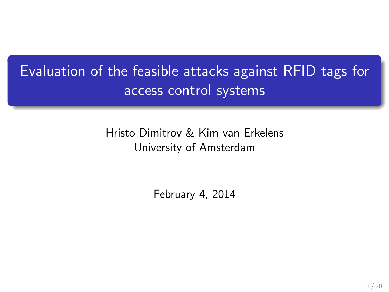# Evaluation of the feasible attacks against RFID tags for access control systems

Hristo Dimitrov & Kim van Erkelens University of Amsterdam

February 4, 2014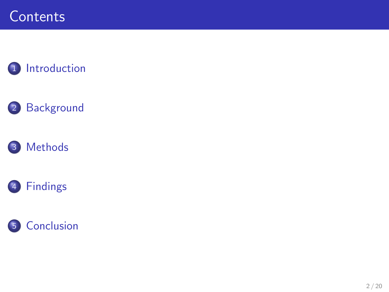### **Contents**

### [Introduction](#page-2-0)

### [Background](#page-4-0)





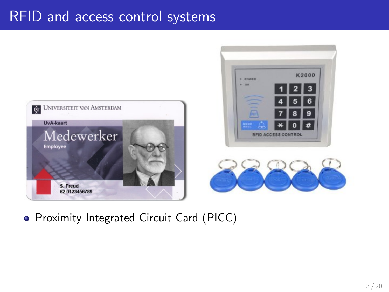### <span id="page-2-0"></span>RFID and access control systems



#### **• Proximity Integrated Circuit Card (PICC)**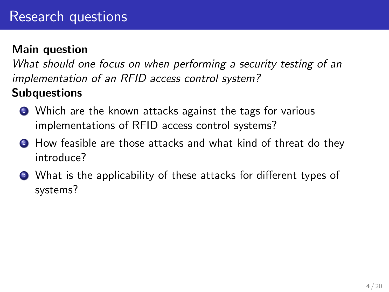### Main question

What should one focus on when performing a security testing of an implementation of an RFID access control system?

### **Subquestions**

- Which are the known attacks against the tags for various implementations of RFID access control systems?
- **2** How feasible are those attacks and what kind of threat do they introduce?
- <sup>3</sup> What is the applicability of these attacks for different types of systems?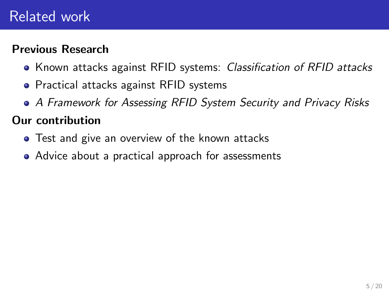### <span id="page-4-0"></span>Related work

### Previous Research

- Known attacks against RFID systems: Classification of RFID attacks
- **•** Practical attacks against RFID systems
- A Framework for Assessing RFID System Security and Privacy Risks

#### Our contribution

- **•** Test and give an overview of the known attacks
- Advice about a practical approach for assessments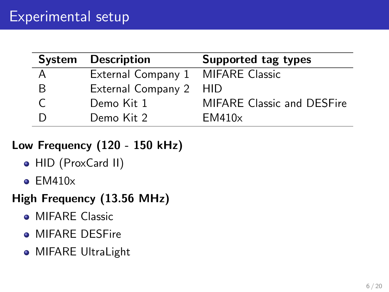<span id="page-5-0"></span>

|   | System Description                | Supported tag types               |
|---|-----------------------------------|-----------------------------------|
|   | External Company 1 MIFARE Classic |                                   |
| В | External Company 2 HID            |                                   |
|   | Demo Kit 1                        | <b>MIFARE Classic and DESFire</b> |
|   | Demo Kit 2                        | EM410x                            |

### Low Frequency (120 - 150 kHz)

- HID (ProxCard II)
- $\bullet$  EM410 $\times$

### High Frequency (13.56 MHz)

- **MIFARE Classic**
- **MIFARE DESFire**
- **MIFARE UltraLight**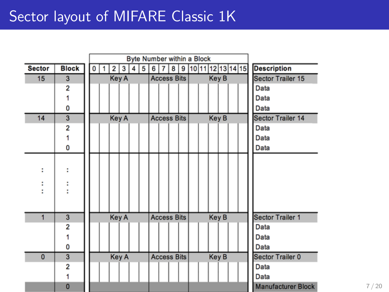|               |                |   |  |              |   |   |   |   |                    |   | Byte Number within a Block |              |  |                                 |                           |
|---------------|----------------|---|--|--------------|---|---|---|---|--------------------|---|----------------------------|--------------|--|---------------------------------|---------------------------|
| <b>Sector</b> | <b>Block</b>   | 0 |  | 2            | 3 | 4 | 5 | 6 | 7                  | 8 |                            |              |  | 9   10   11   12   13   14   15 | <b>Description</b>        |
| 15            | 3              |   |  | <b>Key A</b> |   |   |   |   | <b>Access Bits</b> |   |                            | Key B        |  |                                 | <b>Sector Trailer 15</b>  |
|               | 2              |   |  |              |   |   |   |   |                    |   |                            |              |  |                                 | Data                      |
|               |                |   |  |              |   |   |   |   |                    |   |                            |              |  |                                 | Data                      |
|               | 0              |   |  |              |   |   |   |   |                    |   |                            |              |  |                                 | Data                      |
| 14            | 3              |   |  | <b>Key A</b> |   |   |   |   | <b>Access Bits</b> |   |                            | Key B        |  |                                 | <b>Sector Trailer 14</b>  |
|               | $\overline{2}$ |   |  |              |   |   |   |   |                    |   |                            |              |  |                                 | Data                      |
|               | 1              |   |  |              |   |   |   |   |                    |   |                            |              |  |                                 | Data                      |
|               | 0              |   |  |              |   |   |   |   |                    |   |                            |              |  |                                 | Data                      |
|               |                |   |  |              |   |   |   |   |                    |   |                            |              |  |                                 |                           |
| ÷             |                |   |  |              |   |   |   |   |                    |   |                            |              |  |                                 |                           |
|               |                |   |  |              |   |   |   |   |                    |   |                            |              |  |                                 |                           |
|               |                |   |  |              |   |   |   |   |                    |   |                            |              |  |                                 |                           |
|               |                |   |  |              |   |   |   |   |                    |   |                            |              |  |                                 |                           |
|               |                |   |  |              |   |   |   |   |                    |   |                            |              |  |                                 |                           |
| 1             | 3              |   |  | <b>Key A</b> |   |   |   |   | <b>Access Bits</b> |   |                            | <b>Key B</b> |  |                                 | <b>Sector Trailer 1</b>   |
|               | $\overline{2}$ |   |  |              |   |   |   |   |                    |   |                            |              |  |                                 | Data                      |
|               |                |   |  |              |   |   |   |   |                    |   |                            |              |  |                                 | Data                      |
|               | 0              |   |  |              |   |   |   |   |                    |   |                            |              |  |                                 | Data                      |
| $\mathbf{0}$  | 3              |   |  | Key A        |   |   |   |   | <b>Access Bits</b> |   |                            | <b>Key B</b> |  |                                 | <b>Sector Trailer 0</b>   |
|               | $\overline{2}$ |   |  |              |   |   |   |   |                    |   |                            |              |  |                                 | Data                      |
|               | 1              |   |  |              |   |   |   |   |                    |   |                            |              |  |                                 | <b>Data</b>               |
|               | 0              |   |  |              |   |   |   |   |                    |   |                            |              |  |                                 | <b>Manufacturer Block</b> |

7 / 20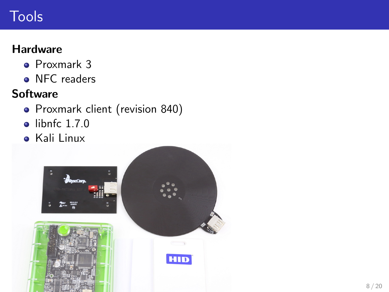## Tools

### **Hardware**

- Proxmark 3
- NFC readers

### **Software**

- Proxmark client (revision 840)
- $\bullet$  libnfc 1.7.0
- Kali Linux

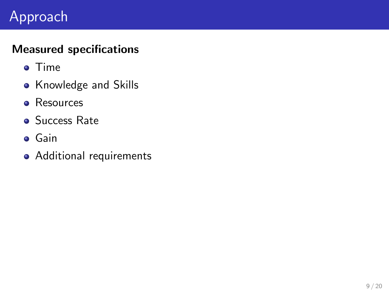# Approach

### Measured specifications

- **o** Time
- Knowledge and Skills
- **e** Resources
- **Success Rate**
- **o** Gain
- Additional requirements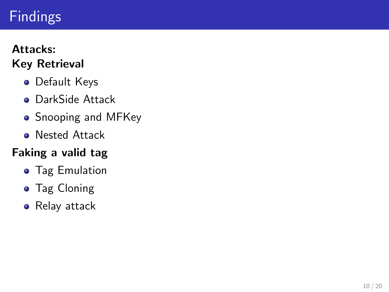# <span id="page-9-0"></span>Findings

#### Attacks: Key Retrieval

- **•** Default Keys
- **o** DarkSide Attack
- Snooping and MFKey
- **Nested Attack**

### Faking a valid tag

- **Tag Emulation**
- **•** Tag Cloning
- Relay attack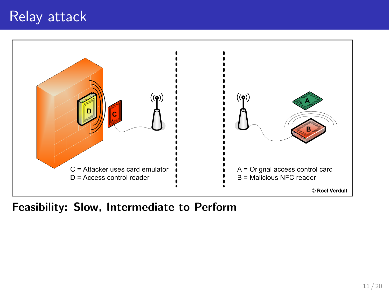

#### Feasibility: Slow, Intermediate to Perform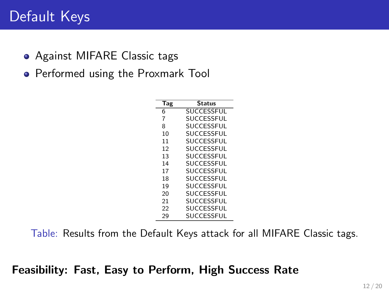### Default Keys

- Against MIFARE Classic tags
- **•** Performed using the Proxmark Tool

| Tag | <b>Status</b>     |
|-----|-------------------|
| 6   | <b>SUCCESSEUL</b> |
| 7   | <b>SUCCESSEUL</b> |
| 8   | SUCCESSFUL        |
| 10  | <b>SUCCESSEUL</b> |
| 11  | SUCCESSFUL        |
| 12  | <b>SUCCESSEUL</b> |
| 13  | <b>SUCCESSEUL</b> |
| 14  | SUCCESSFUL        |
| 17  | <b>SUCCESSEUL</b> |
| 18  | <b>SUCCESSEUL</b> |
| 19  | <b>SUCCESSEUL</b> |
| 20  | SUCCESSFUL        |
| 21  | SUCCESSFUL        |
| 22  | <b>SUCCESSEUL</b> |
| 29  | SUCCESSFUL        |
|     |                   |

Table: Results from the Default Keys attack for all MIFARE Classic tags.

Feasibility: Fast, Easy to Perform, High Success Rate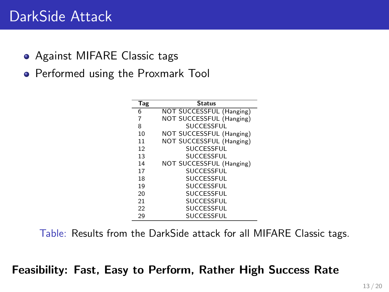### DarkSide Attack

- Against MIFARE Classic tags
- **•** Performed using the Proxmark Tool

| Tag | <b>Status</b>            |
|-----|--------------------------|
| 6   | NOT SUCCESSFUL (Hanging) |
| 7   | NOT SUCCESSFUL (Hanging) |
| 8   | <b>SUCCESSEUL</b>        |
| 10  | NOT SUCCESSFUL (Hanging) |
| 11  | NOT SUCCESSFUL (Hanging) |
| 12  | <b>SUCCESSEUL</b>        |
| 13  | <b>SUCCESSEUL</b>        |
| 14  | NOT SUCCESSFUL (Hanging) |
| 17  | <b>SUCCESSEUL</b>        |
| 18  | <b>SUCCESSEUL</b>        |
| 19  | <b>SUCCESSEUL</b>        |
| 20  | <b>SUCCESSEUL</b>        |
| 21  | <b>SUCCESSEUL</b>        |
| 22  | <b>SUCCESSEUL</b>        |
| 29  | <b>SUCCESSEUL</b>        |

Table: Results from the DarkSide attack for all MIFARE Classic tags.

#### Feasibility: Fast, Easy to Perform, Rather High Success Rate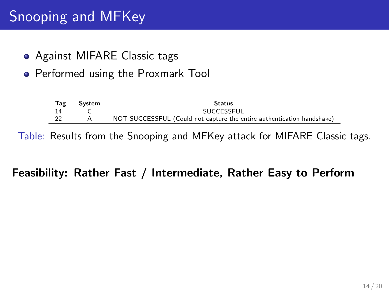# Snooping and MFKey

- Against MIFARE Classic tags
- **•** Performed using the Proxmark Tool

| <b>Tag</b> | System | Status                                                                 |
|------------|--------|------------------------------------------------------------------------|
|            |        | <b>SUCCESSEUL</b>                                                      |
|            |        | NOT SUCCESSFUL (Could not capture the entire authentication handshake) |

Table: Results from the Snooping and MFKey attack for MIFARE Classic tags.

#### Feasibility: Rather Fast / Intermediate, Rather Easy to Perform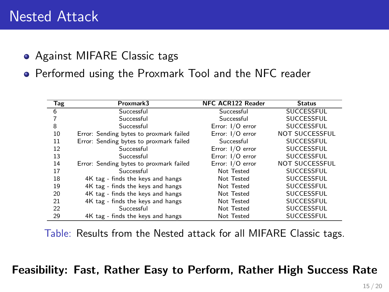### Nested Attack

#### • Against MIFARE Classic tags

**•** Performed using the Proxmark Tool and the NFC reader

| <b>Tag</b> | Proxmark3                               | <b>NFC ACR122 Reader</b> | <b>Status</b>         |
|------------|-----------------------------------------|--------------------------|-----------------------|
| 6          | Successful                              | Successful               | SUCCESSFUL            |
|            | Successful                              | Successful               | SUCCESSFUL            |
| 8          | Successful                              | Error: I/O error         | SUCCESSFUL            |
| 10         | Error: Sending bytes to proxmark failed | Error: I/O error         | <b>NOT SUCCESSFUL</b> |
| 11         | Error: Sending bytes to proxmark failed | Successful               | <b>SUCCESSFUL</b>     |
| 12         | Successful                              | Error: I/O error         | SUCCESSFUL            |
| 13         | Successful                              | Error: I/O error         | <b>SUCCESSEUL</b>     |
| 14         | Error: Sending bytes to proxmark failed | Error: I/O error         | <b>NOT SUCCESSFUL</b> |
| 17         | Successful                              | Not Tested               | SUCCESSFUL            |
| 18         | 4K tag - finds the keys and hangs       | Not Tested               | SUCCESSFUL            |
| 19         | 4K tag - finds the keys and hangs       | Not Tested               | SUCCESSFUL            |
| 20         | 4K tag - finds the keys and hangs       | Not Tested               | SUCCESSFUL            |
| 21         | 4K tag - finds the keys and hangs       | Not Tested               | SUCCESSFUL            |
| 22         | Successful                              | Not Tested               | SUCCESSFUL            |
| 29         | 4K tag - finds the keys and hangs       | Not Tested               | <b>SUCCESSFUL</b>     |

Table: Results from the Nested attack for all MIFARE Classic tags.

#### Feasibility: Fast, Rather Easy to Perform, Rather High Success Rate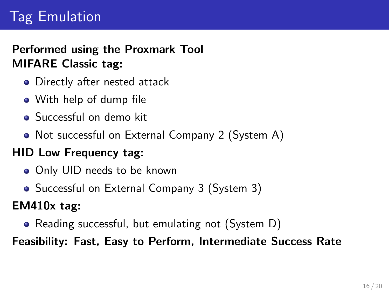# Tag Emulation

### Performed using the Proxmark Tool MIFARE Classic tag:

- Directly after nested attack
- With help of dump file
- Successful on demo kit
- Not successful on External Company 2 (System A)

### HID Low Frequency tag:

- Only UID needs to be known
- Successful on External Company 3 (System 3)

EM410x tag:

• Reading successful, but emulating not (System D)

Feasibility: Fast, Easy to Perform, Intermediate Success Rate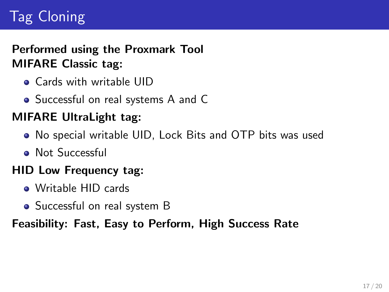# Tag Cloning

### Performed using the Proxmark Tool MIFARE Classic tag:

- Cards with writable UID
- Successful on real systems A and C

### MIFARE UltraLight tag:

- No special writable UID, Lock Bits and OTP bits was used
- **Not Successful**

### HID Low Frequency tag:

- Writable HID cards
- Successful on real system B

### Feasibility: Fast, Easy to Perform, High Success Rate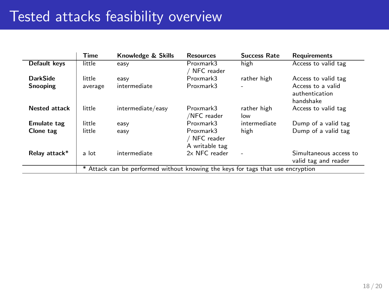| Default keys<br>Access to valid tag<br>high<br>little<br>Proxmark3<br>easy<br>NFC reader<br><b>DarkSide</b><br>Proxmark3<br>little<br>Access to valid tag<br>rather high<br>easy<br>Snooping<br>Proxmark3<br>Access to a valid<br>intermediate<br>average<br>authentication<br>handshake |
|------------------------------------------------------------------------------------------------------------------------------------------------------------------------------------------------------------------------------------------------------------------------------------------|
|                                                                                                                                                                                                                                                                                          |
|                                                                                                                                                                                                                                                                                          |
|                                                                                                                                                                                                                                                                                          |
|                                                                                                                                                                                                                                                                                          |
| <b>Nested attack</b><br>little<br>intermediate/easy<br>Proxmark3<br>rather high<br>Access to valid tag<br>/NFC reader<br>low                                                                                                                                                             |
| Proxmark3<br>Emulate tag<br>little<br>intermediate<br>Dump of a valid tag<br>easy                                                                                                                                                                                                        |
| high<br>little<br>Proxmark3<br>Dump of a valid tag<br>Clone tag<br>easy<br>/ NFC reader<br>A writable tag                                                                                                                                                                                |
| Relay attack*<br>intermediate<br>2x NFC reader<br>Simultaneous access to<br>a lot<br>valid tag and reader                                                                                                                                                                                |
| * Attack can be performed without knowing the keys for tags that use encryption                                                                                                                                                                                                          |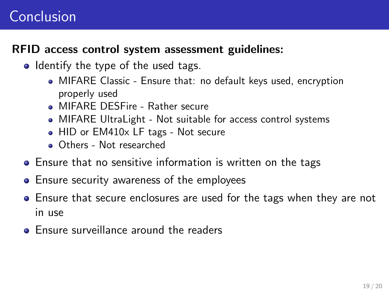### <span id="page-18-0"></span>Conclusion

#### RFID access control system assessment guidelines:

- Identify the type of the used tags.
	- MIFARE Classic Ensure that: no default keys used, encryption properly used
	- **MIFARE DESFire Rather secure**
	- MIFARE UltraLight Not suitable for access control systems
	- HID or EM410x LF tags Not secure
	- **Qthers Not researched**
- Ensure that no sensitive information is written on the tags
- **•** Ensure security awareness of the employees
- Ensure that secure enclosures are used for the tags when they are not in use
- **Ensure surveillance around the readers**